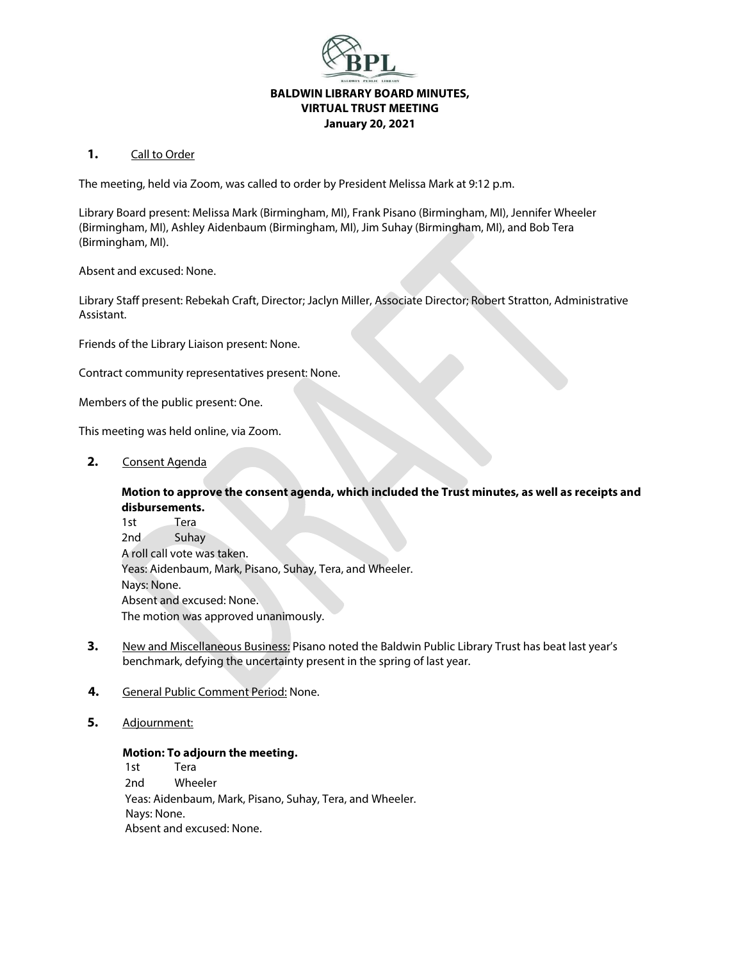

## 1. Call to Order

The meeting, held via Zoom, was called to order by President Melissa Mark at 9:12 p.m.

Library Board present: Melissa Mark (Birmingham, MI), Frank Pisano (Birmingham, MI), Jennifer Wheeler (Birmingham, MI), Ashley Aidenbaum (Birmingham, MI), Jim Suhay (Birmingham, MI), and Bob Tera (Birmingham, MI).

Absent and excused: None.

Library Staff present: Rebekah Craft, Director; Jaclyn Miller, Associate Director; Robert Stratton, Administrative Assistant.

Friends of the Library Liaison present: None.

Contract community representatives present: None.

Members of the public present: One.

This meeting was held online, via Zoom.

**2.** Consent Agenda

## **Motion to approve the consent agenda, which included the Trust minutes, as well as receipts and disbursements.**

1st Tera 2nd Suhay A roll call vote was taken. Yeas: Aidenbaum, Mark, Pisano, Suhay, Tera, and Wheeler. Nays: None. Absent and excused: None. The motion was approved unanimously.

- **3.** New and Miscellaneous Business: Pisano noted the Baldwin Public Library Trust has beat last year's benchmark, defying the uncertainty present in the spring of last year.
- **4.** General Public Comment Period: None.
- **5.** Adjournment:

## **Motion: To adjourn the meeting.**

1st Tera 2nd Wheeler Yeas: Aidenbaum, Mark, Pisano, Suhay, Tera, and Wheeler. Nays: None. Absent and excused: None.